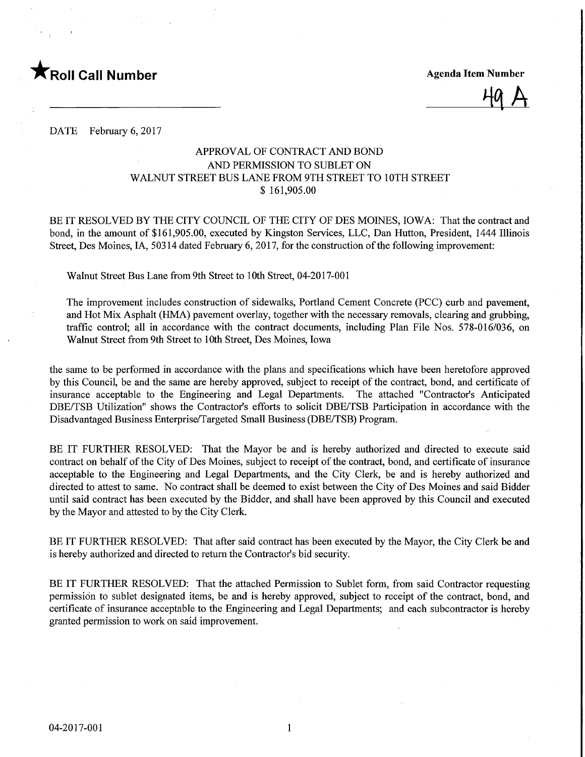

 $49A$ 

DATE February 6, 2017

## APPROVAL OF CONTRACT AND BOND AND PERMISSION TO SUBLET ON WALNUT STREET BUS LANE FROM 9TH STREET TO 10TH STREET \$ 161,905.00

BE IT RESOLVED BY THE CITY COUNCIL OF THE CITY OF DES MOINES, IOWA: That the contract and bond, in the amount of \$161,905.00, executed by Kingston Services, LLC, Dan Hutton, President, 1444 Illinois Street, Des Moines, LA, 50314 dated February 6, 2017, for the construction of the following improvement:

Walnut Street Bus Lane from 9th Street to 10th Street, 04-2017-001

The improvement includes construction of sidewalks, Portland Cement Concrete (PCC) curb and pavement, and Hot Mix Asphalt (HMA) pavement overlay, together with the necessary removals, clearing and grabbing, traffic control; all in accordance with the contract documents, including Plan File Nos. 578-016/036, on Walnut Street from 9th Street to 10th Street, Des Moines, Iowa

the same to be performed in accordance with the plans and specifications which have been heretofore approved by this Council, be and the same are hereby approved, subject to receipt of the contract, bond, and certificate of insurance acceptable to the Engineering and Legal Departments. The attached "Contractor's Anticipated DBE/TSB Utilization" shows the Contractor's efforts to solicit DBE/TSB Participation in accordance with the Disadvantaged Business Enterprise/Targeted Small Business (DBE/TSB) Program.

BE IT FURTHER RESOLVED: That the Mayor be and is hereby authorized and directed to execute said contract on behalf of the City of Des Moines, subject to receipt of the contract, bond, and certificate of insurance acceptable to the Engineering and Legal Departments, and the City Clerk, be and is hereby authorized and directed to attest to same. No contract shall be deemed to exist between the City of Des Moines and said Bidder until said contract has been executed by the Bidder, and shall have been approved by this Council and executed by the Mayor and attested to by the City Clerk.

BE IT FURTHER RESOLVED: That after said contract has been executed by the Mayor, the City Clerk be and is hereby authorized and directed to return the Contractor's bid security.

BE IT FURTHER RESOLVED: That the attached Permission to Sublet form, from said Contractor requesting permission to sublet designated items, be and is hereby approved, subject to receipt of the contract, bond, and certificate of insurance acceptable to the Engineering and Legal Departments; and each subcontractor is hereby granted permission to work on said improvement.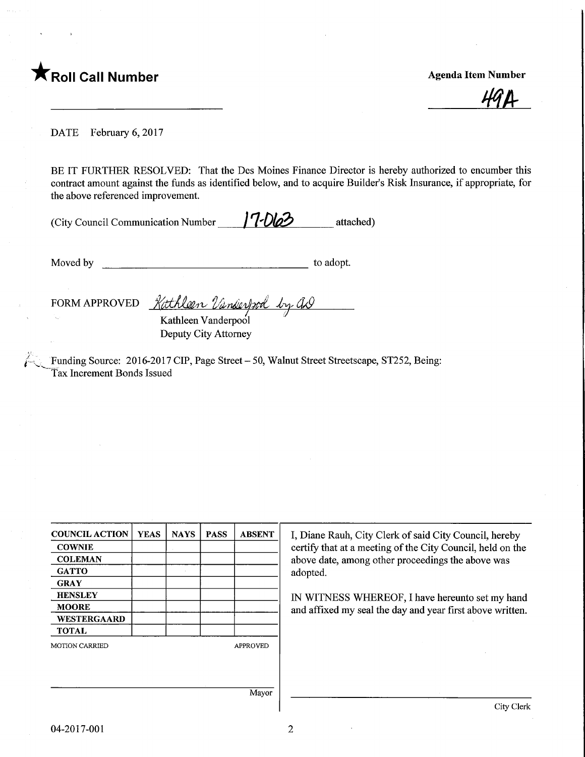## FROII Call Number **Agents** Agenda Item Number

**HG D** 

DATE February 6, 2017

BE IT FURTHER RESOLVED: That the Des Moines Finance Director is hereby authorized to encumber this contract amount against the funds as identified below, and to acquire Builder's Risk Insurance, if appropriate, for the above referenced improvement.

(City Council Communication Number  $\frac{17\sqrt{2}}{2}$  attached)

Moved by the second second to adopt.

FORM APPROVED Kathleen *Vanderbook by G*D

Kathleen Vanderpool Deputy City Attorney

Funding Source: 2016-2017 CIP, Page Street - 50, Walnut Street Streetscape, ST252, Being: Tax Increment Bonds Issued

| <b>COUNCIL ACTION</b> | <b>YEAS</b> | <b>NAYS</b> | <b>PASS</b> | <b>ABSENT</b>   | I, Diane Rauh, City Clerk of said City Council, hereby      |  |  |
|-----------------------|-------------|-------------|-------------|-----------------|-------------------------------------------------------------|--|--|
| <b>COWNIE</b>         |             |             |             |                 | certify that at a meeting of the City Council, held on the  |  |  |
| <b>COLEMAN</b>        |             |             |             |                 | above date, among other proceedings the above was           |  |  |
| <b>GATTO</b>          |             |             |             |                 | adopted.<br>IN WITNESS WHEREOF, I have hereunto set my hand |  |  |
| <b>GRAY</b>           |             |             |             |                 |                                                             |  |  |
| <b>HENSLEY</b>        |             |             |             |                 |                                                             |  |  |
| <b>MOORE</b>          |             |             |             |                 | and affixed my seal the day and year first above written.   |  |  |
| WESTERGAARD           |             |             |             |                 |                                                             |  |  |
| <b>TOTAL</b>          |             |             |             |                 |                                                             |  |  |
| <b>MOTION CARRIED</b> |             |             |             | <b>APPROVED</b> |                                                             |  |  |
|                       |             |             |             |                 |                                                             |  |  |
|                       |             |             |             |                 |                                                             |  |  |
|                       |             |             |             | Mayor           |                                                             |  |  |
|                       |             |             |             |                 | City Clerk                                                  |  |  |

 $\overline{2}$